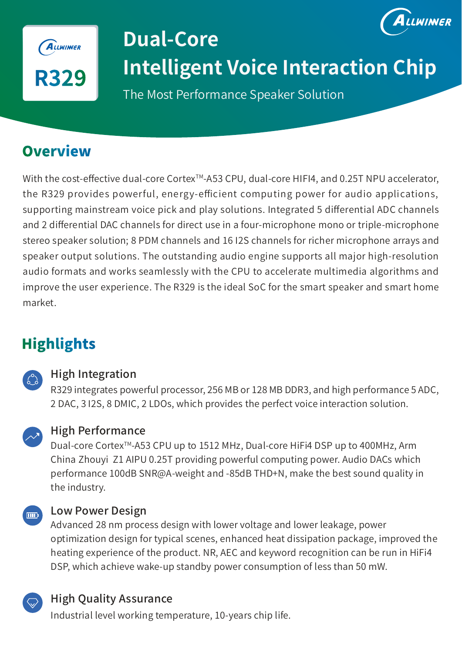

# LWINNER **Dual-Core Intelligent Voice Interaction Chip**

The Most Performance Speaker Solution

# **Overview**

With the cost-effective dual-core Cortex<sup>™-</sup>A53 CPU, dual-core HIFI4, and 0.25T NPU accelerator, the R329 provides powerful, energy-efficient computing power for audio applications, supporting mainstream voice pick and play solutions. Integrated 5 differential ADC channels and 2 differential DAC channels for direct use in a four-microphone mono or triple-microphone stereo speaker solution; 8 PDM channels and 16 I2S channels for richer microphone arrays and speaker output solutions. The outstanding audio engine supports all major high-resolution audio formats and works seamlessly with the CPU to accelerate multimedia algorithms and improve the user experience. The R329 is the ideal SoC for the smart speaker and smart home market.

## **Highlights**



### High Integration

R329 integrates powerful processor, 256 MB or 128 MB DDR3, and high performance 5 ADC, 2 DAC, 3 I2S, 8 DMIC, 2 LDOs, which provides the perfect voice interaction solution.



### High Performance

Dual-core CortexTM-A53 CPU up to 1512 MHz, Dual-core HiFi4 DSP up to 400MHz, Arm China Zhouyi Z1 AIPU 0.25T providing powerful computing power. Audio DACs which performance 100dB SNR@A-weight and -85dB THD+N, make the best sound quality in the industry.



#### Low Power Design

Advanced 28 nm process design with lower voltage and lower leakage, power optimization design for typical scenes, enhanced heat dissipation package, improved the heating experience of the product. NR, AEC and keyword recognition can be run in HiFi4 DSP, which achieve wake-up standby power consumption of less than 50 mW.

## High Quality Assurance

Industrial level working temperature, 10-years chip life.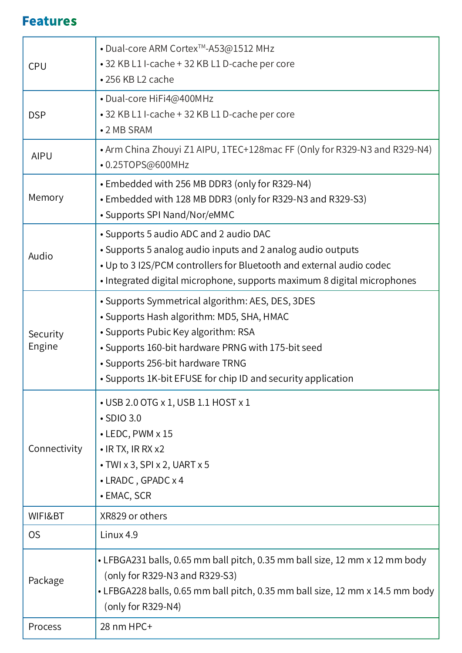## **Features**

|                    | • Dual-core ARM Cortex <sup>™</sup> -A53@1512 MHz                                                                                            |
|--------------------|----------------------------------------------------------------------------------------------------------------------------------------------|
| <b>CPU</b>         | • 32 KB L1 I-cache + 32 KB L1 D-cache per core<br>•256 KB L2 cache                                                                           |
|                    | • Dual-core HiFi4@400MHz                                                                                                                     |
| <b>DSP</b>         | • 32 KB L1 I-cache + 32 KB L1 D-cache per core<br>• 2 MB SRAM                                                                                |
| <b>AIPU</b>        | • Arm China Zhouyi Z1 AIPU, 1TEC+128mac FF (Only for R329-N3 and R329-N4)<br>•0.25TOPS@600MHz                                                |
| Memory             | • Embedded with 256 MB DDR3 (only for R329-N4)<br>• Embedded with 128 MB DDR3 (only for R329-N3 and R329-S3)<br>• Supports SPI Nand/Nor/eMMC |
| Audio              | • Supports 5 audio ADC and 2 audio DAC                                                                                                       |
|                    | • Supports 5 analog audio inputs and 2 analog audio outputs<br>• Up to 3 I2S/PCM controllers for Bluetooth and external audio codec          |
|                    | • Integrated digital microphone, supports maximum 8 digital microphones                                                                      |
| Security<br>Engine | • Supports Symmetrical algorithm: AES, DES, 3DES                                                                                             |
|                    | • Supports Hash algorithm: MD5, SHA, HMAC                                                                                                    |
|                    | • Supports Pubic Key algorithm: RSA<br>• Supports 160-bit hardware PRNG with 175-bit seed                                                    |
|                    | • Supports 256-bit hardware TRNG                                                                                                             |
|                    | • Supports 1K-bit EFUSE for chip ID and security application                                                                                 |
| Connectivity       | • USB 2.0 OTG x 1, USB 1.1 HOST x 1                                                                                                          |
|                    | • SDIO 3.0                                                                                                                                   |
|                    | $\cdot$ LEDC, PWM $\times$ 15<br>$\bullet$ IR TX, IR RX x2                                                                                   |
|                    | $\cdot$ TWI x 3, SPI x 2, UART x 5                                                                                                           |
|                    | • LRADC, GPADC x 4                                                                                                                           |
|                    | • EMAC, SCR                                                                                                                                  |
| WIFI&BT            | XR829 or others                                                                                                                              |
| <b>OS</b>          | Linux 4.9                                                                                                                                    |
| Package            | • LFBGA231 balls, 0.65 mm ball pitch, 0.35 mm ball size, 12 mm x 12 mm body                                                                  |
|                    | (only for R329-N3 and R329-S3)                                                                                                               |
|                    | • LFBGA228 balls, 0.65 mm ball pitch, 0.35 mm ball size, 12 mm x 14.5 mm body<br>(only for R329-N4)                                          |
| Process            | 28 nm HPC+                                                                                                                                   |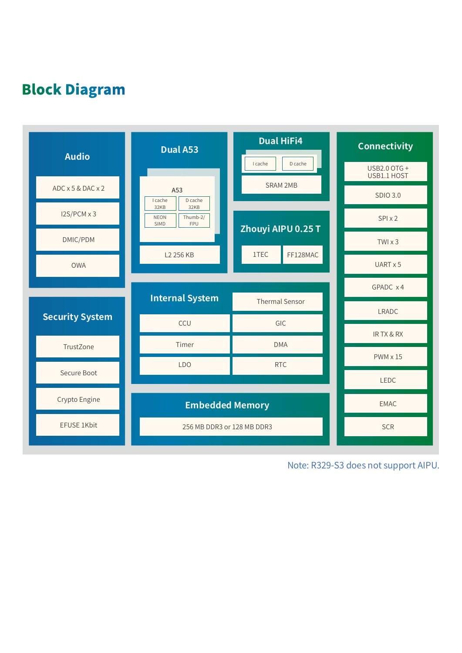## **Block Diagram**



Note: R329-S3 does not support AIPU.